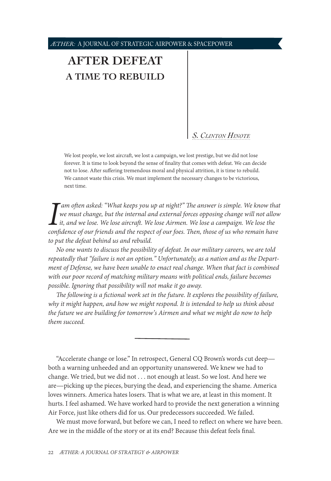# **[AFTER DEFEAT](#page-0-0) [A TIME TO REBUILD](#page-0-0)**

# *[S. Clinton Hinote](#page-0-0)*

We lost people, we lost aircraft, we lost a campaign, we lost prestige, but we did not lose forever. It is time to look beyond the sense of finality that comes with defeat. We can decide not to lose. After suffering tremendous moral and physical attrition, it is time to rebuild. We cannot waste this crisis. We must implement the necessary changes to be victorious, next time.

*I am often asked: "What keeps you up at night?" The answer is simple. We know that we must change, but the internal and external forces opposing change will not allow it, and we lose. We lose aircraft. We lose Airmen. W    am often asked: "What keeps you up at night?" The answer is simple. We know that we must change, but the internal and external forces opposing change will not allow it, and we lose. We lose aircraft. We lose Airmen. We lose a campaign. We lose the to put the defeat behind us and rebuild.*

*No one wants to discuss the possibility of defeat. In our military careers, we are told repeatedly that "failure is not an option." Unfortunately, as a nation and as the Department of Defense, we have been unable to enact real change. When that fact is combined with our poor record of matching military means with political ends, failure becomes possible. Ignoring that possibility will not make it go away.*

*The following is a fictional work set in the future. It explores the possibility of failure,*  why it might happen, and how we might respond. It is intended to help us think about *the future we are building for tomorrow's Airmen and what we might do now to help them succeed.*

"Accelerate change or lose." In retrospect, General CQ Brown's words cut deepboth a warning unheeded and an opportunity unanswered. We knew we had to change. We tried, but we did not . . . not enough at least. So we lost. And here we are—picking up the pieces, burying the dead, and experiencing the shame. America loves winners. America hates losers. That is what we are, at least in this moment. It hurts. I feel ashamed. We have worked hard to provide the next generation a winning Air Force, just like others did for us. Our predecessors succeeded. We failed.

<span id="page-0-0"></span>We must move forward, but before we can, I need to reflect on where we have been. Are we in the middle of the story or at its end? Because this defeat feels final.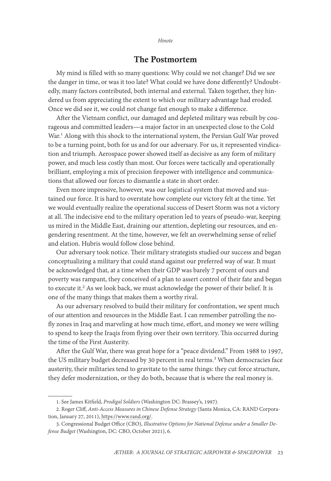### The Postmortem

My mind is filled with so many questions: Why could we not change? Did we see the danger in time, or was it too late? What could we have done differently? Undoubtedly, many factors contributed, both internal and external. Taken together, they hindered us from appreciating the extent to which our military advantage had eroded. Once we did see it, we could not change fast enough to make a difference.

After the Vietnam conflict, our damaged and depleted military was rebuilt by courageous and committed leaders—a major factor in an unexpected close to the Cold War.<sup>1</sup> Along with this shock to the international system, the Persian Gulf War proved to be a turning point, both for us and for our adversary. For us, it represented vindication and triumph. Aerospace power showed itself as decisive as any form of military power, and much less costly than most. Our forces were tactically and operationally brilliant, employing a mix of precision firepower with intelligence and communications that allowed our forces to dismantle a state in short order.

Even more impressive, however, was our logistical system that moved and sustained our force. It is hard to overstate how complete our victory felt at the time. Yet we would eventually realize the operational success of Desert Storm was not a victory at all. The indecisive end to the military operation led to years of pseudo-war, keeping us mired in the Middle East, draining our attention, depleting our resources, and engendering resentment. At the time, however, we felt an overwhelming sense of relief and elation. Hubris would follow close behind.

Our adversary took notice. Their military strategists studied our success and began conceptualizing a military that could stand against our preferred way of war. It must be acknowledged that, at a time when their GDP was barely 7 percent of ours and poverty was rampant, they conceived of a plan to assert control of their fate and began to execute it.<sup>2</sup> As we look back, we must acknowledge the power of their belief. It is one of the many things that makes them a worthy rival.

As our adversary resolved to build their military for confrontation, we spent much of our attention and resources in the Middle East. I can remember patrolling the nofly zones in Iraq and marveling at how much time, effort, and money we were willing to spend to keep the Iraqis from flying over their own territory. This occurred during the time of the First Austerity.

After the Gulf War, there was great hope for a "peace dividend." From 1988 to 1997, the US military budget decreased by 30 percent in real terms.<sup>3</sup> When democracies face austerity, their militaries tend to gravitate to the same things: they cut force structure, they defer modernization, or they do both, because that is where the real money is.

<sup>1.</sup> See James Kitfield, *Prodigal Soldiers* (Washington DC: Brassey's, 1997).

<sup>2.</sup> Roger Cliff, *Anti-Access Measures in Chinese Defense Strategy* (Santa Monica, CA: RAND Corporation, January 27, 2011), https://www.rand.org/.

<sup>3.</sup> Congressional Budget Office (CBO), *Illustrative Options for National Defense under a Smaller Defense Budget* (Washington, DC: CBO, October 2021), 6.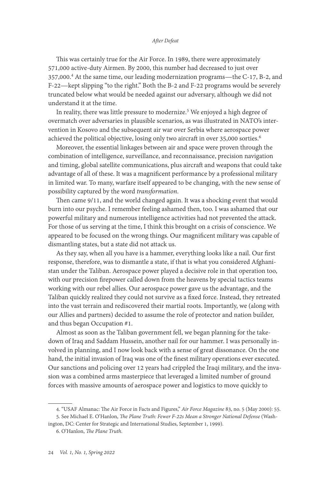This was certainly true for the Air Force. In 1989, there were approximately 571,000 active-duty Airmen. By 2000, this number had decreased to just over 357,000.<sup>4</sup> At the same time, our leading modernization programs—the C-17, B-2, and F-22—kept slipping "to the right." Both the B-2 and F-22 programs would be severely truncated below what would be needed against our adversary, although we did not understand it at the time.

In reality, there was little pressure to modernize.<sup>5</sup> We enjoyed a high degree of overmatch over adversaries in plausible scenarios, as was illustrated in NATO's intervention in Kosovo and the subsequent air war over Serbia where aerospace power achieved the political objective, losing only two aircraft in over 35,000 sorties.<sup>6</sup>

Moreover, the essential linkages between air and space were proven through the combination of intelligence, surveillance, and reconnaissance, precision navigation and timing, global satellite communications, plus aircraft and weapons that could take advantage of all of these. It was a magnificent performance by a professional military in limited war. To many, warfare itself appeared to be changing, with the new sense of possibility captured by the word *transformation*.

Then came 9/11, and the world changed again. It was a shocking event that would burn into our psyche. I remember feeling ashamed then, too. I was ashamed that our powerful military and numerous intelligence activities had not prevented the attack. For those of us serving at the time, I think this brought on a crisis of conscience. We appeared to be focused on the wrong things. Our magnificent military was capable of dismantling states, but a state did not attack us.

As they say, when all you have is a hammer, everything looks like a nail. Our first response, therefore, was to dismantle a state, if that is what you considered Afghanistan under the Taliban. Aerospace power played a decisive role in that operation too, with our precision firepower called down from the heavens by special tactics teams working with our rebel allies. Our aerospace power gave us the advantage, and the Taliban quickly realized they could not survive as a fixed force. Instead, they retreated into the vast terrain and rediscovered their martial roots. Importantly, we (along with our Allies and partners) decided to assume the role of protector and nation builder, and thus began Occupation #1.

Almost as soon as the Taliban government fell, we began planning for the takedown of Iraq and Saddam Hussein, another nail for our hammer. I was personally involved in planning, and I now look back with a sense of great dissonance. On the one hand, the initial invasion of Iraq was one of the finest military operations ever executed. Our sanctions and policing over 12 years had crippled the Iraqi military, and the invasion was a combined arms masterpiece that leveraged a limited number of ground forces with massive amounts of aerospace power and logistics to move quickly to

<sup>4. &</sup>quot;USAF Almanac: The Air Force in Facts and Figures," *Air Force Magazine* 83, no. 5 (May 2000): 55. 5. See Michael E. O'Hanlon, *The Plane Truth: Fewer F-22s Mean a Stronger National Defense* (Washington, DC: Center for Strategic and International Studies, September 1, 1999).

<sup>6.</sup> O'Hanlon, *The Plane Truth.*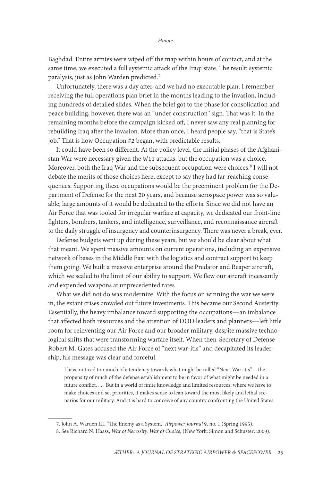Baghdad. Entire armies were wiped off the map within hours of contact, and at the same time, we executed a full systemic attack of the Iraqi state. The result: systemic paralysis, just as John Warden predicted.<sup>7</sup>

Unfortunately, there was a day after, and we had no executable plan. I remember receiving the full operations plan brief in the months leading to the invasion, including hundreds of detailed slides. When the brief got to the phase for consolidation and peace building, however, there was an "under construction" sign. That was it. In the remaining months before the campaign kicked off, I never saw any real planning for rebuilding Iraq after the invasion. More than once, I heard people say, "that is State's job." That is how Occupation #2 began, with predictable results.

It could have been so different. At the policy level, the initial phases of the Afghanistan War were necessary given the 9/11 attacks, but the occupation was a choice. Moreover, both the Iraq War and the subsequent occupation were choices.<sup>8</sup> I will not debate the merits of those choices here, except to say they had far-reaching consequences. Supporting these occupations would be the preeminent problem for the Department of Defense for the next 20 years, and because aerospace power was so valuable, large amounts of it would be dedicated to the efforts. Since we did not have an Air Force that was tooled for irregular warfare at capacity, we dedicated our front-line fighters, bombers, tankers, and intelligence, surveillance, and reconnaissance aircraft to the daily struggle of insurgency and counterinsurgency. There was never a break, ever.

Defense budgets went up during these years, but we should be clear about what that meant. We spent massive amounts on current operations, including an expensive network of bases in the Middle East with the logistics and contract support to keep them going. We built a massive enterprise around the Predator and Reaper aircraft, which we scaled to the limit of our ability to support. We flew our aircraft incessantly and expended weapons at unprecedented rates.

What we did not do was modernize. With the focus on winning the war we were in, the extant crises crowded out future investments. This became our Second Austerity. Essentially, the heavy imbalance toward supporting the occupations—an imbalance that affected both resources and the attention of DOD leaders and planners—left little room for reinventing our Air Force and our broader military, despite massive technological shifts that were transforming warfare itself. When then-Secretary of Defense Robert M. Gates accused the Air Force of "next war-itis" and decapitated its leadership, his message was clear and forceful.

I have noticed too much of a tendency towards what might be called "Next-War-itis"—the propensity of much of the defense establishment to be in favor of what might be needed in a future conflict. . . . But in a world of finite knowledge and limited resources, where we have to make choices and set priorities, it makes sense to lean toward the most likely and lethal scenarios for our military. And it is hard to conceive of any country confronting the United States

<sup>7.</sup> John A. Warden III, "The Enemy as a System," *Airpower Journal* 9, no. 1 (Spring 1995).

<sup>8.</sup> See Richard N. Haass, *War of Necessity, War of Choice*, (New York: Simon and Schuster: 2009).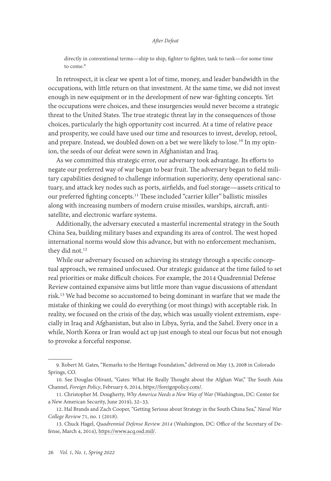directly in conventional terms—ship to ship, fighter to fighter, tank to tank—for some time to come.<sup>9</sup>

In retrospect, it is clear we spent a lot of time, money, and leader bandwidth in the occupations, with little return on that investment. At the same time, we did not invest enough in new equipment or in the development of new war-fighting concepts. Yet the occupations were choices, and these insurgencies would never become a strategic threat to the United States. The true strategic threat lay in the consequences of those choices, particularly the high opportunity cost incurred. At a time of relative peace and prosperity, we could have used our time and resources to invest, develop, retool, and prepare. Instead, we doubled down on a bet we were likely to lose.<sup>10</sup> In my opinion, the seeds of our defeat were sown in Afghanistan and Iraq.

As we committed this strategic error, our adversary took advantage. Its efforts to negate our preferred way of war began to bear fruit. The adversary began to field military capabilities designed to challenge information superiority, deny operational sanctuary, and attack key nodes such as ports, airfields, and fuel storage—assets critical to our preferred fighting concepts.<sup>11</sup> These included "carrier killer" ballistic missiles along with increasing numbers of modern cruise missiles, warships, aircraft, antisatellite, and electronic warfare systems.

Additionally, the adversary executed a masterful incremental strategy in the South China Sea, building military bases and expanding its area of control. The west hoped international norms would slow this advance, but with no enforcement mechanism, they did not.<sup>12</sup>

While our adversary focused on achieving its strategy through a specific conceptual approach, we remained unfocused. Our strategic guidance at the time failed to set real priorities or make difficult choices. For example, the 2014 Quadrennial Defense Review contained expansive aims but little more than vague discussions of attendant risk.13 We had become so accustomed to being dominant in warfare that we made the mistake of thinking we could do everything (or most things) with acceptable risk. In reality, we focused on the crisis of the day, which was usually violent extremism, especially in Iraq and Afghanistan, but also in Libya, Syria, and the Sahel. Every once in a while, North Korea or Iran would act up just enough to steal our focus but not enough to provoke a forceful response.

<sup>9.</sup> Robert M. Gates, "Remarks to the Heritage Foundation," delivered on May 13, 2008 in Colorado Springs, CO.

<sup>10.</sup> See Douglas Olivant, "Gates: What He Really Thought about the Afghan War," The South Asia Channel, *Foreign Policy*, February 6, 2014, [https://foreignpolicy.com/](https://foreignpolicy.com/2014/02/06/gates-what-he-really-thought-about-the-afghan-war/).

<sup>11.</sup> Christopher M. Dougherty, *Why America Needs a New Way of War* (Washington, DC: Center for a New American Security, June 2019), 32–33.

<sup>12.</sup> Hal Brands and Zach Cooper, "Getting Serious about Strategy in the South China Sea," *Naval War College Review* 71, no. 1 (2018).

<sup>13.</sup> Chuck Hagel, *Quadrennial Defense Review 2014* (Washington, DC: Office of the Secretary of Defense, March 4, 2014), [https://www.acq.osd.mil/.](https://www.acq.osd.mil/ncbdp/docs/2014_Quadrennial_Defense_Review.pdf)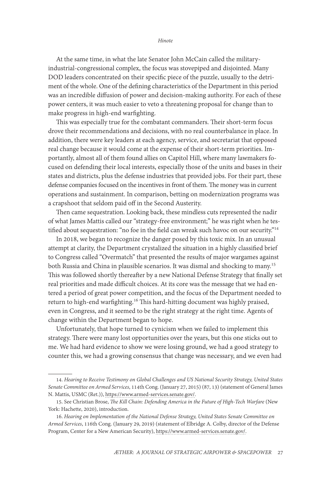At the same time, in what the late Senator John McCain called the militaryindustrial-congressional complex, the focus was stovepiped and disjointed. Many DOD leaders concentrated on their specific piece of the puzzle, usually to the detriment of the whole. One of the defining characteristics of the Department in this period was an incredible diffusion of power and decision-making authority. For each of these power centers, it was much easier to veto a threatening proposal for change than to make progress in high-end warfighting.

This was especially true for the combatant commanders. Their short-term focus drove their recommendations and decisions, with no real counterbalance in place. In addition, there were key leaders at each agency, service, and secretariat that opposed real change because it would come at the expense of their short-term priorities. Importantly, almost all of them found allies on Capitol Hill, where many lawmakers focused on defending their local interests, especially those of the units and bases in their states and districts, plus the defense industries that provided jobs. For their part, these defense companies focused on the incentives in front of them. The money was in current operations and sustainment. In comparison, betting on modernization programs was a crapshoot that seldom paid off in the Second Austerity.

Then came sequestration. Looking back, these mindless cuts represented the nadir of what James Mattis called our "strategy-free environment;" he was right when he testified about sequestration: "no foe in the field can wreak such havoc on our security."<sup>14</sup>

In 2018, we began to recognize the danger posed by this toxic mix. In an unusual attempt at clarity, the Department crystalized the situation in a highly classified brief to Congress called "Overmatch" that presented the results of major wargames against both Russia and China in plausible scenarios. It was dismal and shocking to many.15 This was followed shortly thereafter by a new National Defense Strategy that finally set real priorities and made difficult choices. At its core was the message that we had entered a period of great power competition, and the focus of the Department needed to return to high-end warfighting.<sup>16</sup> This hard-hitting document was highly praised, even in Congress, and it seemed to be the right strategy at the right time. Agents of change within the Department began to hope.

Unfortunately, that hope turned to cynicism when we failed to implement this strategy. There were many lost opportunities over the years, but this one sticks out to me. We had hard evidence to show we were losing ground, we had a good strategy to counter this, we had a growing consensus that change was necessary, and we even had

<sup>14.</sup> *Hearing to Receive Testimony on Global Challenges and US National Security Strategy, United States Senate Committee on Armed Services*, 114th Cong. (January 27, 2015) (87, 13) (statement of General James N. Mattis, USMC (Ret.)), [https://www.armed-services.senate.gov/](https://www.armed-services.senate.gov/imo/media/doc/15-03%20-%201-27-15.pdf).

<sup>15.</sup> See Christian Brose, *The Kill Chain: Defending America in the Future of High-Tech Warfare* (New York: Hachette, 2020), introduction.

<sup>16.</sup> *Hearing on Implementation of the National Defense Strategy, United States Senate Committee on Armed Services*, 116th Cong. (January 29, 2019) (statement of Elbridge A. Colby, director of the Defense Program, Center for a New American Security), https://www.armed-services.senate.gov/.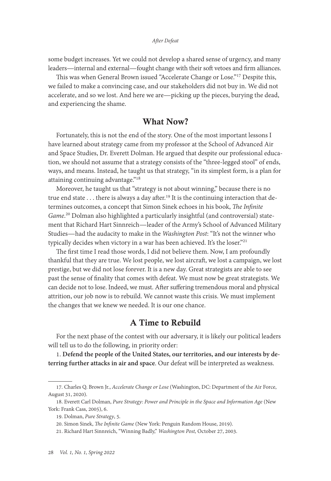some budget increases. Yet we could not develop a shared sense of urgency, and many leaders—internal and external—fought change with their soft vetoes and firm alliances.

This was when General Brown issued "Accelerate Change or Lose."17 Despite this, we failed to make a convincing case, and our stakeholders did not buy in. We did not accelerate, and so we lost. And here we are—picking up the pieces, burying the dead, and experiencing the shame.

# What Now?

Fortunately, this is not the end of the story. One of the most important lessons I have learned about strategy came from my professor at the School of Advanced Air and Space Studies, Dr. Everett Dolman. He argued that despite our professional education, we should not assume that a strategy consists of the "three-legged stool" of ends, ways, and means. Instead, he taught us that strategy, "in its simplest form, is a plan for attaining continuing advantage."18

Moreover, he taught us that "strategy is not about winning," because there is no true end state  $\dots$  there is always a day after.<sup>19</sup> It is the continuing interaction that determines outcomes, a concept that Simon Sinek echoes in his book, *The Infinite Game*. 20 Dolman also highlighted a particularly insightful (and controversial) statement that Richard Hart Sinnreich—leader of the Army's School of Advanced Military Studies—had the audacity to make in the *Washington Post*: "It's not the winner who typically decides when victory in a war has been achieved. It's the loser."<sup>21</sup>

The first time I read those words, I did not believe them. Now, I am profoundly thankful that they are true. We lost people, we lost aircraft, we lost a campaign, we lost prestige, but we did not lose forever. It is a new day. Great strategists are able to see past the sense of finality that comes with defeat. We must now be great strategists. We can decide not to lose. Indeed, we must. After suffering tremendous moral and physical attrition, our job now is to rebuild. We cannot waste this crisis. We must implement the changes that we knew we needed. It is our one chance.

### A Time to Rebuild

For the next phase of the contest with our adversary, it is likely our political leaders will tell us to do the following, in priority order:

1. **Defend the people of the United States, our territories, and our interests by deterring further attacks in air and space**. Our defeat will be interpreted as weakness.

<sup>17.</sup> Charles Q. Brown Jr., *Accelerate Change or Lose* (Washington, DC: Department of the Air Force, August 31, 2020).

<sup>18.</sup> Everett Carl Dolman, *Pure Strategy: Power and Principle in the Space and Information Age* (New York: Frank Cass, 2005), 6.

<sup>19.</sup> Dolman, *Pure Strategy*, 5.

<sup>20.</sup> Simon Sinek, *The Infinite Game* (New York: Penguin Random House, 2019).

<sup>21.</sup> Richard Hart Sinnreich, "Winning Badly," *Washington Post,* October 27, 2003.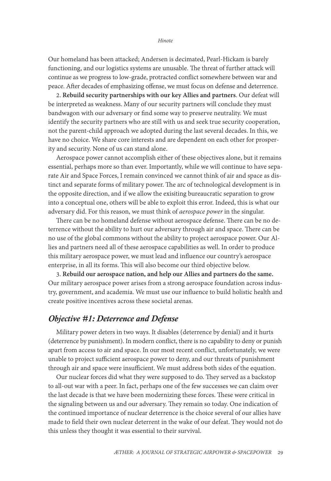Our homeland has been attacked; Andersen is decimated, Pearl-Hickam is barely functioning, and our logistics systems are unusable. The threat of further attack will continue as we progress to low-grade, protracted conflict somewhere between war and peace. After decades of emphasizing offense, we must focus on defense and deterrence.

2. **Rebuild security partnerships with our key Allies and partners**. Our defeat will be interpreted as weakness. Many of our security partners will conclude they must bandwagon with our adversary or find some way to preserve neutrality. We must identify the security partners who are still with us and seek true security cooperation, not the parent-child approach we adopted during the last several decades. In this, we have no choice. We share core interests and are dependent on each other for prosperity and security. None of us can stand alone.

Aerospace power cannot accomplish either of these objectives alone, but it remains essential, perhaps more so than ever. Importantly, while we will continue to have separate Air and Space Forces, I remain convinced we cannot think of air and space as distinct and separate forms of military power. The arc of technological development is in the opposite direction, and if we allow the exisiting bureaucratic separation to grow into a conceptual one, others will be able to exploit this error. Indeed, this is what our adversary did. For this reason, we must think of *aerospace power* in the singular.

There can be no homeland defense without aerospace defense. There can be no deterrence without the ability to hurt our adversary through air and space. There can be no use of the global commons without the ability to project aerospace power. Our Allies and partners need all of these aerospace capabilities as well. In order to produce this military aerospace power, we must lead and influence our country's aerospace enterprise, in all its forms. This will also become our third objective below.

3. **Rebuild our aerospace nation, and help our Allies and partners do the same.** Our military aerospace power arises from a strong aerospace foundation across industry, government, and academia. We must use our influence to build holistic health and create positive incentives across these societal arenas.

# *Objective #1: Deterrence and Defense*

Military power deters in two ways. It disables (deterrence by denial) and it hurts (deterrence by punishment). In modern conflict, there is no capability to deny or punish apart from access to air and space. In our most recent conflict, unfortunately, we were unable to project sufficient aerospace power to deny, and our threats of punishment through air and space were insufficient. We must address both sides of the equation.

Our nuclear forces did what they were supposed to do. They served as a backstop to all-out war with a peer. In fact, perhaps one of the few successes we can claim over the last decade is that we have been modernizing these forces. These were critical in the signaling between us and our adversary. They remain so today. One indication of the continued importance of nuclear deterrence is the choice several of our allies have made to field their own nuclear deterrent in the wake of our defeat. They would not do this unless they thought it was essential to their survival.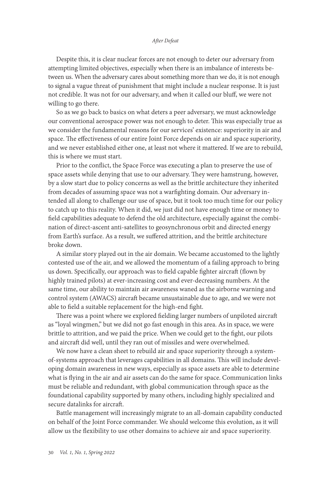Despite this, it is clear nuclear forces are not enough to deter our adversary from attempting limited objectives, especially when there is an imbalance of interests between us. When the adversary cares about something more than we do, it is not enough to signal a vague threat of punishment that might include a nuclear response. It is just not credible. It was not for our adversary, and when it called our bluff, we were not willing to go there.

So as we go back to basics on what deters a peer adversary, we must acknowledge our conventional aerospace power was not enough to deter. This was especially true as we consider the fundamental reasons for our services' existence: superiority in air and space. The effectiveness of our entire Joint Force depends on air and space superiority, and we never established either one, at least not where it mattered. If we are to rebuild, this is where we must start.

Prior to the conflict, the Space Force was executing a plan to preserve the use of space assets while denying that use to our adversary. They were hamstrung, however, by a slow start due to policy concerns as well as the brittle architecture they inherited from decades of assuming space was not a warfighting domain. Our adversary intended all along to challenge our use of space, but it took too much time for our policy to catch up to this reality. When it did, we just did not have enough time or money to field capabilities adequate to defend the old architecture, especially against the combination of direct-ascent anti-satellites to geosynchronous orbit and directed energy from Earth's surface. As a result, we suffered attrition, and the brittle architecture broke down.

A similar story played out in the air domain. We became accustomed to the lightly contested use of the air, and we allowed the momentum of a failing approach to bring us down. Specifically, our approach was to field capable fighter aircraft (flown by highly trained pilots) at ever-increasing cost and ever-decreasing numbers. At the same time, our ability to maintain air awareness waned as the airborne warning and control system (AWACS) aircraft became unsustainable due to age, and we were not able to field a suitable replacement for the high-end fight.

There was a point where we explored fielding larger numbers of unpiloted aircraft as "loyal wingmen," but we did not go fast enough in this area. As in space, we were brittle to attrition, and we paid the price. When we could get to the fight, our pilots and aircraft did well, until they ran out of missiles and were overwhelmed.

We now have a clean sheet to rebuild air and space superiority through a systemof-systems approach that leverages capabilities in all domains. This will include developing domain awareness in new ways, especially as space assets are able to determine what is flying in the air and air assets can do the same for space. Communication links must be reliable and redundant, with global communication through space as the foundational capability supported by many others, including highly specialized and secure datalinks for aircraft.

Battle management will increasingly migrate to an all-domain capability conducted on behalf of the Joint Force commander. We should welcome this evolution, as it will allow us the flexibility to use other domains to achieve air and space superiority.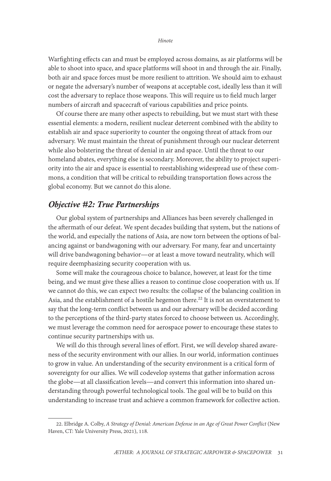Warfighting effects can and must be employed across domains, as air platforms will be able to shoot into space, and space platforms will shoot in and through the air. Finally, both air and space forces must be more resilient to attrition. We should aim to exhaust or negate the adversarys number of weapons at acceptable cost, ideally less than it will cost the adversary to replace those weapons. This will require us to field much larger numbers of aircraft and spacecraft of various capabilities and price points.

Of course there are many other aspects to rebuilding, but we must start with these essential elements: a modern, resilient nuclear deterrent combined with the ability to establish air and space superiority to counter the ongoing threat of attack from our adversary. We must maintain the threat of punishment through our nuclear deterrent while also bolstering the threat of denial in air and space. Until the threat to our homeland abates, everything else is secondary. Moreover, the ability to project superiority into the air and space is essential to reestablishing widespread use of these commons, a condition that will be critical to rebuilding transportation flows across the global economy. But we cannot do this alone.

### *Objective #2: True Partnerships*

Our global system of partnerships and Alliances has been severely challenged in the aftermath of our defeat. We spent decades building that system, but the nations of the world, and especially the nations of Asia, are now torn between the options of balancing against or bandwagoning with our adversary. For many, fear and uncertainty will drive bandwagoning behavior—or at least a move toward neutrality, which will require deemphasizing security cooperation with us.

Some will make the courageous choice to balance, however, at least for the time being, and we must give these allies a reason to continue close cooperation with us. If we cannot do this, we can expect two results: the collapse of the balancing coalition in Asia, and the establishment of a hostile hegemon there.<sup>22</sup> It is not an overstatement to say that the long-term conflict between us and our adversary will be decided according to the perceptions of the third-party states forced to choose between us. Accordingly, we must leverage the common need for aerospace power to encourage these states to continue security partnerships with us.

We will do this through several lines of effort. First, we will develop shared awareness of the security environment with our allies. In our world, information continues to grow in value. An understanding of the security environment is a critical form of sovereignty for our allies. We will codevelop systems that gather information across the globe—at all classification levels—and convert this information into shared understanding through powerful technological tools. The goal will be to build on this understanding to increase trust and achieve a common framework for collective action.

<sup>22.</sup> Elbridge A. Colby, *A Strategy of Denial: American Defense in an Age of Great Power Conflict* (New Haven, CT: Yale University Press, 2021), 118.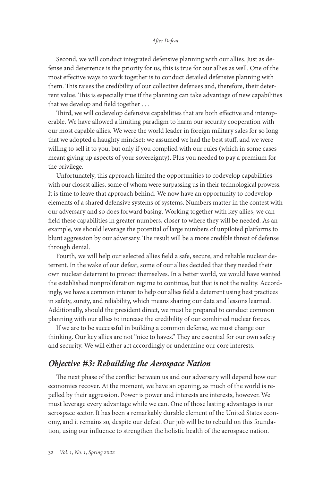Second, we will conduct integrated defensive planning with our allies. Just as defense and deterrence is the priority for us, this is true for our allies as well. One of the most effective ways to work together is to conduct detailed defensive planning with them. This raises the credibility of our collective defenses and, therefore, their deterrent value. This is especially true if the planning can take advantage of new capabilities that we develop and field together . . .

Third, we will codevelop defensive capabilities that are both effective and interoperable. We have allowed a limiting paradigm to harm our security cooperation with our most capable allies. We were the world leader in foreign military sales for so long that we adopted a haughty mindset: we assumed we had the best stuff, and we were willing to sell it to you, but only if you complied with our rules (which in some cases meant giving up aspects of your sovereignty). Plus you needed to pay a premium for the privilege.

Unfortunately, this approach limited the opportunities to codevelop capabilities with our closest allies, some of whom were surpassing us in their technological prowess. It is time to leave that approach behind. We now have an opportunity to codevelop elements of a shared defensive systems of systems. Numbers matter in the contest with our adversary and so does forward basing. Working together with key allies, we can field these capabilities in greater numbers, closer to where they will be needed. As an example, we should leverage the potential of large numbers of unpiloted platforms to blunt aggression by our adversary. The result will be a more credible threat of defense through denial.

Fourth, we will help our selected allies field a safe, secure, and reliable nuclear deterrent. In the wake of our defeat, some of our allies decided that they needed their own nuclear deterrent to protect themselves. In a better world, we would have wanted the established nonproliferation regime to continue, but that is not the reality. Accordingly, we have a common interest to help our allies field a deterrent using best practices in safety, surety, and reliability, which means sharing our data and lessons learned. Additionally, should the president direct, we must be prepared to conduct common planning with our allies to increase the credibility of our combined nuclear forces.

If we are to be successful in building a common defense, we must change our thinking. Our key allies are not "nice to haves." They are essential for our own safety and security. We will either act accordingly or undermine our core interests.

# *Objective #3: Rebuilding the Aerospace Nation*

The next phase of the conflict between us and our adversary will depend how our economies recover. At the moment, we have an opening, as much of the world is repelled by their aggression. Power is power and interests are interests, however. We must leverage every advantage while we can. One of those lasting advantages is our aerospace sector. It has been a remarkably durable element of the United States economy, and it remains so, despite our defeat. Our job will be to rebuild on this foundation, using our influence to strengthen the holistic health of the aerospace nation.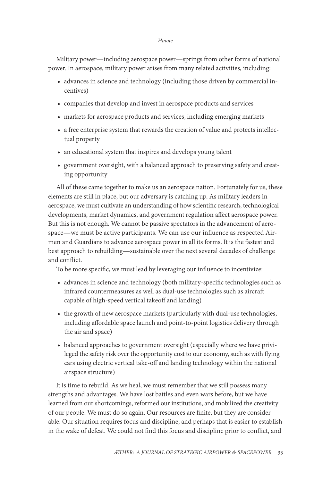Military power—including aerospace power—springs from other forms of national power. In aerospace, military power arises from many related activities, including:

- advances in science and technology (including those driven by commercial incentives)
- companies that develop and invest in aerospace products and services
- markets for aerospace products and services, including emerging markets
- a free enterprise system that rewards the creation of value and protects intellectual property
- an educational system that inspires and develops young talent
- government oversight, with a balanced approach to preserving safety and creating opportunity

All of these came together to make us an aerospace nation. Fortunately for us, these elements are still in place, but our adversary is catching up. As military leaders in aerospace, we must cultivate an understanding of how scientific research, technological developments, market dynamics, and government regulation affect aerospace power. But this is not enough. We cannot be passive spectators in the advancement of aerospace—we must be active participants. We can use our influence as respected Airmen and Guardians to advance aerospace power in all its forms. It is the fastest and best approach to rebuilding—sustainable over the next several decades of challenge and conflict.

To be more specific, we must lead by leveraging our influence to incentivize:

- advances in science and technology (both military-specific technologies such as infrared countermeasures as well as dual-use technologies such as aircraft capable of high-speed vertical takeoff and landing)
- the growth of new aerospace markets (particularly with dual-use technologies, including affordable space launch and point-to-point logistics delivery through the air and space)
- balanced approaches to government oversight (especially where we have privileged the safety risk over the opportunity cost to our economy, such as with flying cars using electric vertical take-off and landing technology within the national airspace structure)

It is time to rebuild. As we heal, we must remember that we still possess many strengths and advantages. We have lost battles and even wars before, but we have learned from our shortcomings, reformed our institutions, and mobilized the creativity of our people. We must do so again. Our resources are finite, but they are considerable. Our situation requires focus and discipline, and perhaps that is easier to establish in the wake of defeat. We could not find this focus and discipline prior to conflict, and